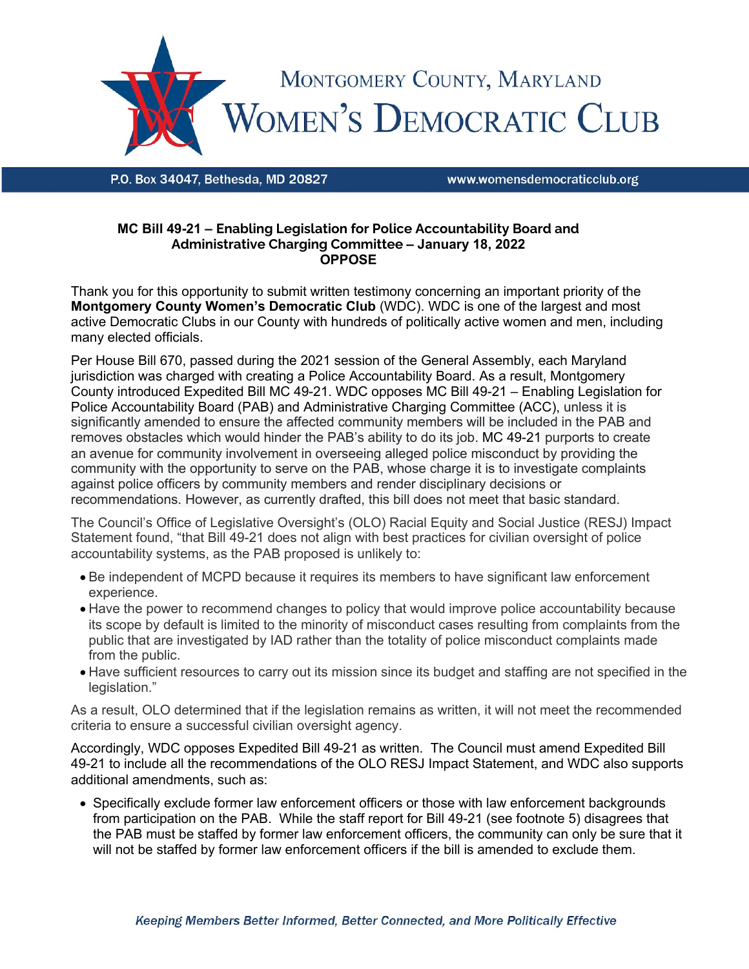

P.O. Box 34047. Bethesda. MD 20827

www.womensdemocraticclub.org

## **MC Bill 49-21 – Enabling Legislation for Police Accountability Board and Administrative Charging Committee – January 18, 2022 OPPOSE**

Thank you for this opportunity to submit written testimony concerning an important priority of the **Montgomery County Women's Democratic Club** (WDC). WDC is one of the largest and most active Democratic Clubs in our County with hundreds of politically active women and men, including many elected officials.

Per House Bill 670, passed during the 2021 session of the General Assembly, each Maryland jurisdiction was charged with creating a Police Accountability Board. As a result, Montgomery County introduced Expedited Bill MC 49-21. WDC opposes MC Bill 49-21 – Enabling Legislation for Police Accountability Board (PAB) and Administrative Charging Committee (ACC), unless it is significantly amended to ensure the affected community members will be included in the PAB and removes obstacles which would hinder the PAB's ability to do its job. MC 49-21 purports to create an avenue for community involvement in overseeing alleged police misconduct by providing the community with the opportunity to serve on the PAB, whose charge it is to investigate complaints against police officers by community members and render disciplinary decisions or recommendations. However, as currently drafted, this bill does not meet that basic standard.

The Council's Office of Legislative Oversight's (OLO) Racial Equity and Social Justice (RESJ) Impact Statement found, "that Bill 49-21 does not align with best practices for civilian oversight of police accountability systems, as the PAB proposed is unlikely to:

- Be independent of MCPD because it requires its members to have significant law enforcement experience.
- Have the power to recommend changes to policy that would improve police accountability because its scope by default is limited to the minority of misconduct cases resulting from complaints from the public that are investigated by IAD rather than the totality of police misconduct complaints made from the public.
- Have sufficient resources to carry out its mission since its budget and staffing are not specified in the legislation."

As a result, OLO determined that if the legislation remains as written, it will not meet the recommended criteria to ensure a successful civilian oversight agency.

Accordingly, WDC opposes Expedited Bill 49-21 as written. The Council must amend Expedited Bill 49-21 to include all the recommendations of the OLO RESJ Impact Statement, and WDC also supports additional amendments, such as:

• Specifically exclude former law enforcement officers or those with law enforcement backgrounds from participation on the PAB. While the staff report for Bill 49-21 (see footnote 5) disagrees that the PAB must be staffed by former law enforcement officers, the community can only be sure that it will not be staffed by former law enforcement officers if the bill is amended to exclude them.